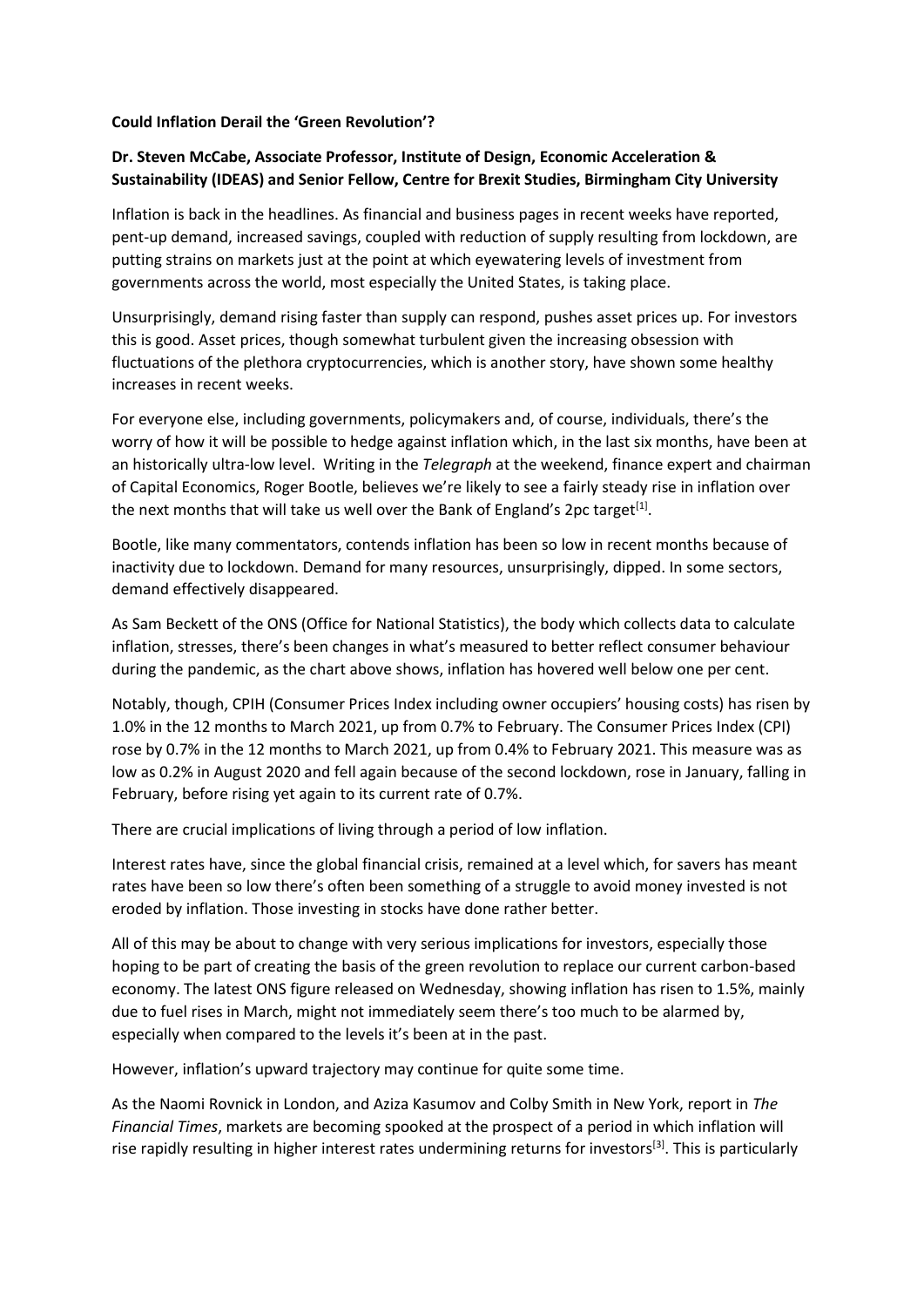## **Could Inflation Derail the 'Green Revolution'?**

## **Dr. Steven McCabe, Associate Professor, Institute of Design, Economic Acceleration & Sustainability (IDEAS) and Senior Fellow, Centre for Brexit Studies, Birmingham City University**

Inflation is back in the headlines. As financial and business pages in recent weeks have reported, pent-up demand, increased savings, coupled with reduction of supply resulting from lockdown, are putting strains on markets just at the point at which eyewatering levels of investment from governments across the world, most especially the United States, is taking place.

Unsurprisingly, demand rising faster than supply can respond, pushes asset prices up. For investors this is good. Asset prices, though somewhat turbulent given the increasing obsession with fluctuations of the plethora cryptocurrencies, which is another story, have shown some healthy increases in recent weeks.

For everyone else, including governments, policymakers and, of course, individuals, there's the worry of how it will be possible to hedge against inflation which, in the last six months, have been at an historically ultra-low level. Writing in the *Telegraph* at the weekend, finance expert and chairman of Capital Economics, Roger Bootle, believes we're likely to see a fairly steady rise in inflation over the next months that will take us well over the Bank of England's 2pc target<sup>[1]</sup>.

Bootle, like many commentators, contends inflation has been so low in recent months because of inactivity due to lockdown. Demand for many resources, unsurprisingly, dipped. In some sectors, demand effectively disappeared.

As Sam Beckett of the ONS (Office for National Statistics), the body which collects data to calculate inflation, stresses, there's been changes in what's measured to better reflect consumer behaviour during the pandemic, as the chart above shows, inflation has hovered well below one per cent.

Notably, though, CPIH (Consumer Prices Index including owner occupiers' housing costs) has risen by 1.0% in the 12 months to March 2021, up from 0.7% to February. The Consumer Prices Index (CPI) rose by 0.7% in the 12 months to March 2021, up from 0.4% to February 2021. This measure was as low as 0.2% in August 2020 and fell again because of the second lockdown, rose in January, falling in February, before rising yet again to its current rate of 0.7%.

There are crucial implications of living through a period of low inflation.

Interest rates have, since the global financial crisis, remained at a level which, for savers has meant rates have been so low there's often been something of a struggle to avoid money invested is not eroded by inflation. Those investing in stocks have done rather better.

All of this may be about to change with very serious implications for investors, especially those hoping to be part of creating the basis of the green revolution to replace our current carbon-based economy. The latest ONS figure released on Wednesday, showing inflation has risen to 1.5%, mainly due to fuel rises in March, might not immediately seem there's too much to be alarmed by, especially when compared to the levels it's been at in the past.

However, inflation's upward trajectory may continue for quite some time.

As the Naomi Rovnick in London, and Aziza Kasumov and Colby Smith in New York, report in *The Financial Times*, markets are becoming spooked at the prospect of a period in which inflation will rise rapidly resulting in higher interest rates undermining returns for investors<sup>[3]</sup>. This is particularly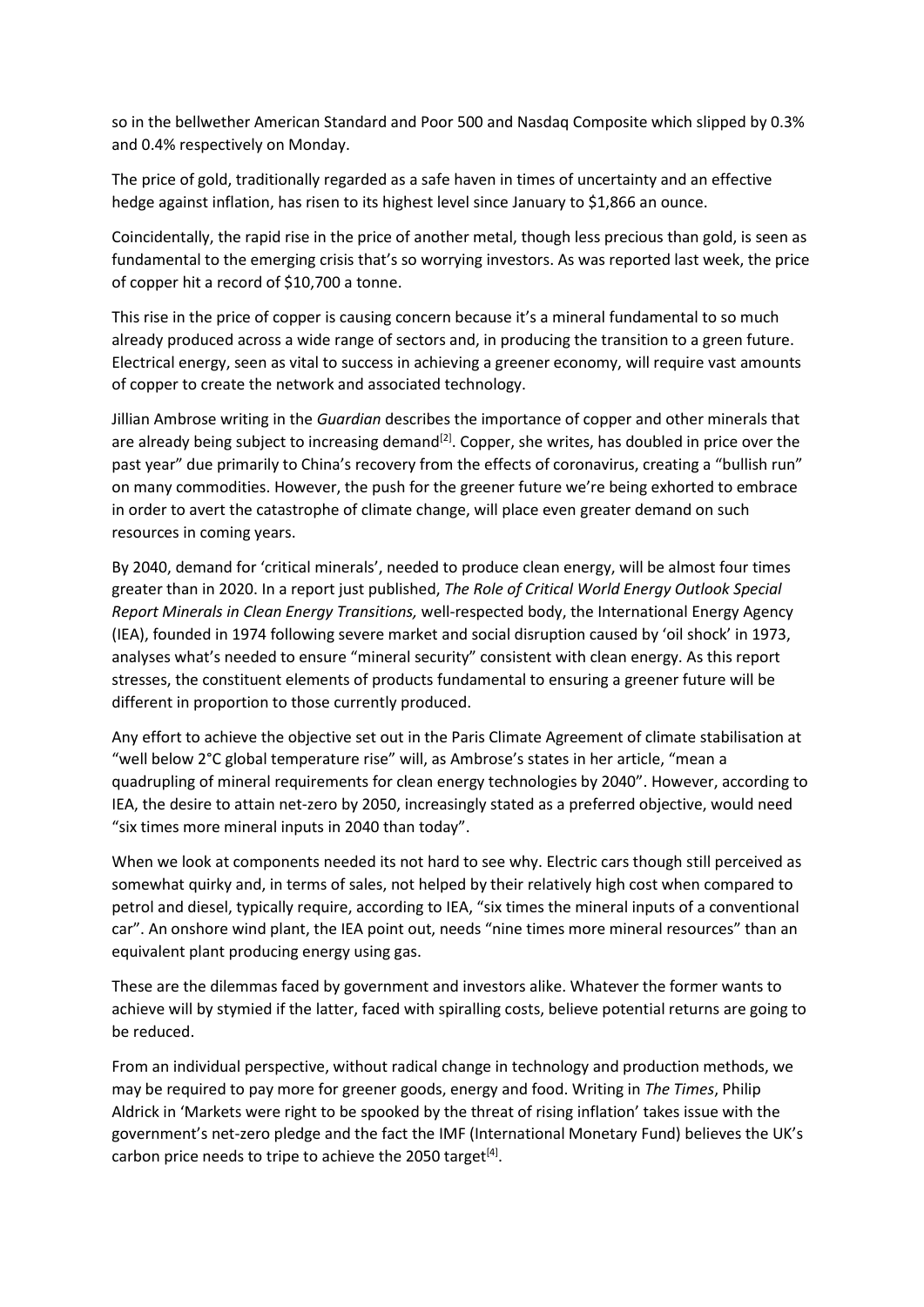so in the bellwether American Standard and Poor 500 and Nasdaq Composite which slipped by 0.3% and 0.4% respectively on Monday.

The price of gold, traditionally regarded as a safe haven in times of uncertainty and an effective hedge against inflation, has risen to its highest level since January to \$1,866 an ounce.

Coincidentally, the rapid rise in the price of another metal, though less precious than gold, is seen as fundamental to the emerging crisis that's so worrying investors. As was reported last week, the price of copper hit a record of \$10,700 a tonne.

This rise in the price of copper is causing concern because it's a mineral fundamental to so much already produced across a wide range of sectors and, in producing the transition to a green future. Electrical energy, seen as vital to success in achieving a greener economy, will require vast amounts of copper to create the network and associated technology.

Jillian Ambrose writing in the *Guardian* describes the importance of copper and other minerals that are already being subject to increasing demand<sup>[2]</sup>. Copper, she writes, has doubled in price over the past year" due primarily to China's recovery from the effects of coronavirus, creating a "bullish run" on many commodities. However, the push for the greener future we're being exhorted to embrace in order to avert the catastrophe of climate change, will place even greater demand on such resources in coming years.

By 2040, demand for 'critical minerals', needed to produce clean energy, will be almost four times greater than in 2020. In a report just published, *The Role of Critical World Energy Outlook Special Report Minerals in Clean Energy Transitions,* well-respected body, the International Energy Agency (IEA), founded in 1974 following severe market and social disruption caused by 'oil shock' in 1973, analyses what's needed to ensure "mineral security" consistent with clean energy. As this report stresses, the constituent elements of products fundamental to ensuring a greener future will be different in proportion to those currently produced.

Any effort to achieve the objective set out in the Paris Climate Agreement of climate stabilisation at "well below 2°C global temperature rise" will, as Ambrose's states in her article, "mean a quadrupling of mineral requirements for clean energy technologies by 2040". However, according to IEA, the desire to attain net-zero by 2050, increasingly stated as a preferred objective, would need "six times more mineral inputs in 2040 than today".

When we look at components needed its not hard to see why. Electric cars though still perceived as somewhat quirky and, in terms of sales, not helped by their relatively high cost when compared to petrol and diesel, typically require, according to IEA, "six times the mineral inputs of a conventional car". An onshore wind plant, the IEA point out, needs "nine times more mineral resources" than an equivalent plant producing energy using gas.

These are the dilemmas faced by government and investors alike. Whatever the former wants to achieve will by stymied if the latter, faced with spiralling costs, believe potential returns are going to be reduced.

From an individual perspective, without radical change in technology and production methods, we may be required to pay more for greener goods, energy and food. Writing in *The Times*, Philip Aldrick in 'Markets were right to be spooked by the threat of rising inflation' takes issue with the government's net-zero pledge and the fact the IMF (International Monetary Fund) believes the UK's carbon price needs to tripe to achieve the 2050 target $^{[4]}$ .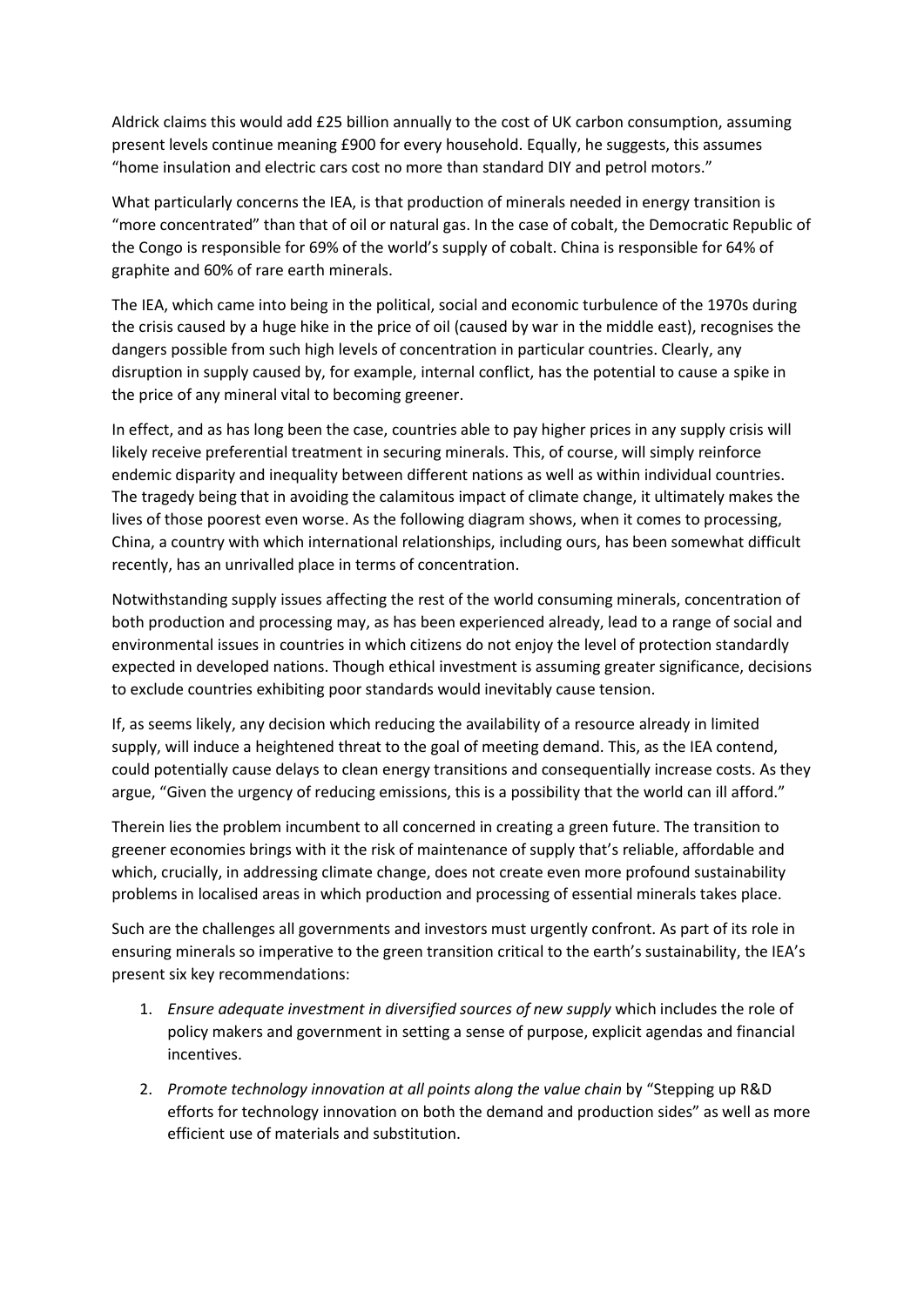Aldrick claims this would add £25 billion annually to the cost of UK carbon consumption, assuming present levels continue meaning £900 for every household. Equally, he suggests, this assumes "home insulation and electric cars cost no more than standard DIY and petrol motors."

What particularly concerns the IEA, is that production of minerals needed in energy transition is "more concentrated" than that of oil or natural gas. In the case of cobalt, the Democratic Republic of the Congo is responsible for 69% of the world's supply of cobalt. China is responsible for 64% of graphite and 60% of rare earth minerals.

The IEA, which came into being in the political, social and economic turbulence of the 1970s during the crisis caused by a huge hike in the price of oil (caused by war in the middle east), recognises the dangers possible from such high levels of concentration in particular countries. Clearly, any disruption in supply caused by, for example, internal conflict, has the potential to cause a spike in the price of any mineral vital to becoming greener.

In effect, and as has long been the case, countries able to pay higher prices in any supply crisis will likely receive preferential treatment in securing minerals. This, of course, will simply reinforce endemic disparity and inequality between different nations as well as within individual countries. The tragedy being that in avoiding the calamitous impact of climate change, it ultimately makes the lives of those poorest even worse. As the following diagram shows, when it comes to processing, China, a country with which international relationships, including ours, has been somewhat difficult recently, has an unrivalled place in terms of concentration.

Notwithstanding supply issues affecting the rest of the world consuming minerals, concentration of both production and processing may, as has been experienced already, lead to a range of social and environmental issues in countries in which citizens do not enjoy the level of protection standardly expected in developed nations. Though ethical investment is assuming greater significance, decisions to exclude countries exhibiting poor standards would inevitably cause tension.

If, as seems likely, any decision which reducing the availability of a resource already in limited supply, will induce a heightened threat to the goal of meeting demand. This, as the IEA contend, could potentially cause delays to clean energy transitions and consequentially increase costs. As they argue, "Given the urgency of reducing emissions, this is a possibility that the world can ill afford."

Therein lies the problem incumbent to all concerned in creating a green future. The transition to greener economies brings with it the risk of maintenance of supply that's reliable, affordable and which, crucially, in addressing climate change, does not create even more profound sustainability problems in localised areas in which production and processing of essential minerals takes place.

Such are the challenges all governments and investors must urgently confront. As part of its role in ensuring minerals so imperative to the green transition critical to the earth's sustainability, the IEA's present six key recommendations:

- 1. *Ensure adequate investment in diversified sources of new supply* which includes the role of policy makers and government in setting a sense of purpose, explicit agendas and financial incentives.
- 2. *Promote technology innovation at all points along the value chain* by "Stepping up R&D efforts for technology innovation on both the demand and production sides" as well as more efficient use of materials and substitution.